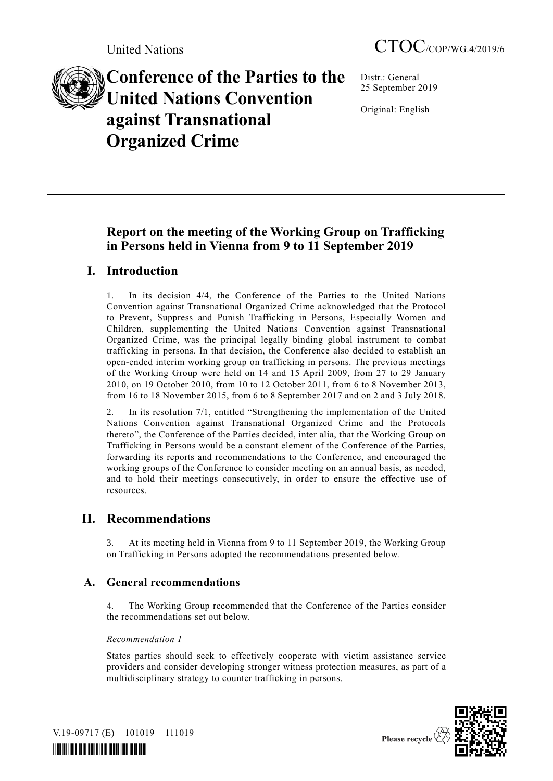

**Conference of the Parties to the United Nations Convention against Transnational Organized Crime**

Distr.: General 25 September 2019

Original: English

# **Report on the meeting of the Working Group on Trafficking in Persons held in Vienna from 9 to 11 September 2019**

# **I. Introduction**

1. In its decision 4/4, the Conference of the Parties to the United Nations Convention against Transnational Organized Crime acknowledged that the Protocol to Prevent, Suppress and Punish Trafficking in Persons, Especially Women and Children, supplementing the United Nations Convention against Transnational Organized Crime, was the principal legally binding global instrument to combat trafficking in persons. In that decision, the Conference also decided to establish an open-ended interim working group on trafficking in persons. The previous meetings of the Working Group were held on 14 and 15 April 2009, from 27 to 29 January 2010, on 19 October 2010, from 10 to 12 October 2011, from 6 to 8 November 2013, from 16 to 18 November 2015, from 6 to 8 September 2017 and on 2 and 3 July 2018.

2. In its resolution 7/1, entitled "Strengthening the implementation of the United Nations Convention against Transnational Organized Crime and the Protocols thereto", the Conference of the Parties decided, inter alia, that the Working Group on Trafficking in Persons would be a constant element of the Conference of the Parties, forwarding its reports and recommendations to the Conference, and encouraged the working groups of the Conference to consider meeting on an annual basis, as needed, and to hold their meetings consecutively, in order to ensure the effective use of resources.

# **II. Recommendations**

3. At its meeting held in Vienna from 9 to 11 September 2019, the Working Group on Trafficking in Persons adopted the recommendations presented below.

## **A. General recommendations**

4. The Working Group recommended that the Conference of the Parties consider the recommendations set out below.

## *Recommendation 1*

States parties should seek to effectively cooperate with victim assistance service providers and consider developing stronger witness protection measures, as part of a multidisciplinary strategy to counter trafficking in persons.



V.19-09717 (E) 101019 111019

*\*1909717\**

Please recycle  $\overline{\mathbf{\langle}}$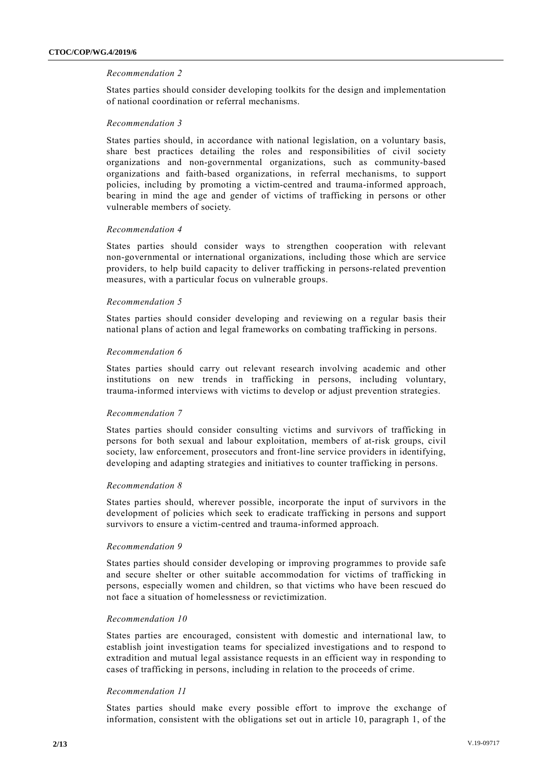## *Recommendation 2*

States parties should consider developing toolkits for the design and implementation of national coordination or referral mechanisms.

## *Recommendation 3*

States parties should, in accordance with national legislation, on a voluntary basis, share best practices detailing the roles and responsibilities of civil society organizations and non-governmental organizations, such as community-based organizations and faith-based organizations, in referral mechanisms, to support policies, including by promoting a victim-centred and trauma-informed approach, bearing in mind the age and gender of victims of trafficking in persons or other vulnerable members of society.

## *Recommendation 4*

States parties should consider ways to strengthen cooperation with relevant non-governmental or international organizations, including those which are service providers, to help build capacity to deliver trafficking in persons-related prevention measures, with a particular focus on vulnerable groups.

## *Recommendation 5*

States parties should consider developing and reviewing on a regular basis their national plans of action and legal frameworks on combating trafficking in persons.

## *Recommendation 6*

States parties should carry out relevant research involving academic and other institutions on new trends in trafficking in persons, including voluntary, trauma-informed interviews with victims to develop or adjust prevention strategies.

## *Recommendation 7*

States parties should consider consulting victims and survivors of trafficking in persons for both sexual and labour exploitation, members of at-risk groups, civil society, law enforcement, prosecutors and front-line service providers in identifying, developing and adapting strategies and initiatives to counter trafficking in persons.

## *Recommendation 8*

States parties should, wherever possible, incorporate the input of survivors in the development of policies which seek to eradicate trafficking in persons and support survivors to ensure a victim-centred and trauma-informed approach.

## *Recommendation 9*

States parties should consider developing or improving programmes to provide safe and secure shelter or other suitable accommodation for victims of trafficking in persons, especially women and children, so that victims who have been rescued do not face a situation of homelessness or revictimization.

## *Recommendation 10*

States parties are encouraged, consistent with domestic and international law, to establish joint investigation teams for specialized investigations and to respond to extradition and mutual legal assistance requests in an efficient way in responding to cases of trafficking in persons, including in relation to the proceeds of crime.

## *Recommendation 11*

States parties should make every possible effort to improve the exchange of information, consistent with the obligations set out in article 10, paragraph 1, of the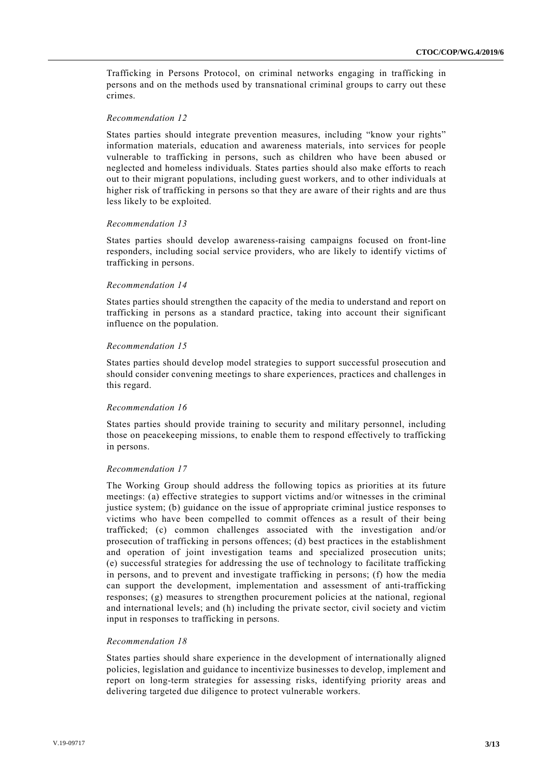Trafficking in Persons Protocol, on criminal networks engaging in trafficking in persons and on the methods used by transnational criminal groups to carry out these crimes.

### *Recommendation 12*

States parties should integrate prevention measures, including "know your rights" information materials, education and awareness materials, into services for people vulnerable to trafficking in persons, such as children who have been abused or neglected and homeless individuals. States parties should also make efforts to reach out to their migrant populations, including guest workers, and to other individuals at higher risk of trafficking in persons so that they are aware of their rights and are thus less likely to be exploited.

#### *Recommendation 13*

States parties should develop awareness-raising campaigns focused on front-line responders, including social service providers, who are likely to identify victims of trafficking in persons.

#### *Recommendation 14*

States parties should strengthen the capacity of the media to understand and report on trafficking in persons as a standard practice, taking into account their significant influence on the population.

## *Recommendation 15*

States parties should develop model strategies to support successful prosecution and should consider convening meetings to share experiences, practices and challenges in this regard.

## *Recommendation 16*

States parties should provide training to security and military personnel, including those on peacekeeping missions, to enable them to respond effectively to trafficking in persons.

## *Recommendation 17*

The Working Group should address the following topics as priorities at its future meetings: (a) effective strategies to support victims and/or witnesses in the criminal justice system; (b) guidance on the issue of appropriate criminal justice responses to victims who have been compelled to commit offences as a result of their being trafficked; (c) common challenges associated with the investigation and/or prosecution of trafficking in persons offences; (d) best practices in the establishment and operation of joint investigation teams and specialized prosecution units; (e) successful strategies for addressing the use of technology to facilitate trafficking in persons, and to prevent and investigate trafficking in persons; (f) how the media can support the development, implementation and assessment of anti-trafficking responses; (g) measures to strengthen procurement policies at the national, regional and international levels; and (h) including the private sector, civil society and victim input in responses to trafficking in persons.

## *Recommendation 18*

States parties should share experience in the development of internationally aligned policies, legislation and guidance to incentivize businesses to develop, implement and report on long-term strategies for assessing risks, identifying priority areas and delivering targeted due diligence to protect vulnerable workers.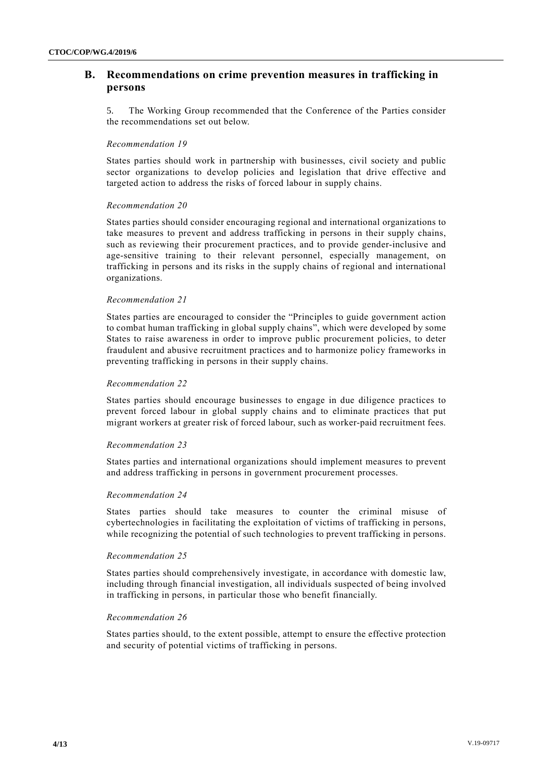## **B. Recommendations on crime prevention measures in trafficking in persons**

5. The Working Group recommended that the Conference of the Parties consider the recommendations set out below.

### *Recommendation 19*

States parties should work in partnership with businesses, civil society and public sector organizations to develop policies and legislation that drive effective and targeted action to address the risks of forced labour in supply chains.

## *Recommendation 20*

States parties should consider encouraging regional and international organizations to take measures to prevent and address trafficking in persons in their supply chains, such as reviewing their procurement practices, and to provide gender-inclusive and age-sensitive training to their relevant personnel, especially management, on trafficking in persons and its risks in the supply chains of regional and international organizations.

#### *Recommendation 21*

States parties are encouraged to consider the "Principles to guide government action to combat human trafficking in global supply chains", which were developed by some States to raise awareness in order to improve public procurement policies, to deter fraudulent and abusive recruitment practices and to harmonize policy frameworks in preventing trafficking in persons in their supply chains.

#### *Recommendation 22*

States parties should encourage businesses to engage in due diligence practices to prevent forced labour in global supply chains and to eliminate practices that put migrant workers at greater risk of forced labour, such as worker-paid recruitment fees.

## *Recommendation 23*

States parties and international organizations should implement measures to prevent and address trafficking in persons in government procurement processes.

#### *Recommendation 24*

States parties should take measures to counter the criminal misuse of cybertechnologies in facilitating the exploitation of victims of trafficking in persons, while recognizing the potential of such technologies to prevent trafficking in persons.

#### *Recommendation 25*

States parties should comprehensively investigate, in accordance with domestic law, including through financial investigation, all individuals suspected of being involved in trafficking in persons, in particular those who benefit financially.

#### *Recommendation 26*

States parties should, to the extent possible, attempt to ensure the effective protection and security of potential victims of trafficking in persons.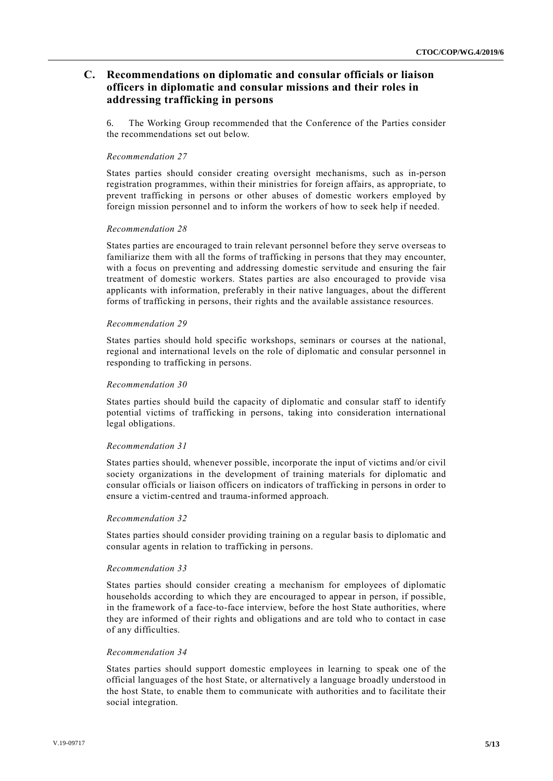## **C. Recommendations on diplomatic and consular officials or liaison officers in diplomatic and consular missions and their roles in addressing trafficking in persons**

6. The Working Group recommended that the Conference of the Parties consider the recommendations set out below.

## *Recommendation 27*

States parties should consider creating oversight mechanisms, such as in-person registration programmes, within their ministries for foreign affairs, as appropriate, to prevent trafficking in persons or other abuses of domestic workers employed by foreign mission personnel and to inform the workers of how to seek help if needed.

#### *Recommendation 28*

States parties are encouraged to train relevant personnel before they serve overseas to familiarize them with all the forms of trafficking in persons that they may encounter, with a focus on preventing and addressing domestic servitude and ensuring the fair treatment of domestic workers. States parties are also encouraged to provide visa applicants with information, preferably in their native languages, about the different forms of trafficking in persons, their rights and the available assistance resources.

## *Recommendation 29*

States parties should hold specific workshops, seminars or courses at the national, regional and international levels on the role of diplomatic and consular personnel in responding to trafficking in persons.

## *Recommendation 30*

States parties should build the capacity of diplomatic and consular staff to identify potential victims of trafficking in persons, taking into consideration international legal obligations.

## *Recommendation 31*

States parties should, whenever possible, incorporate the input of victims and/or civil society organizations in the development of training materials for diplomatic and consular officials or liaison officers on indicators of trafficking in persons in order to ensure a victim-centred and trauma-informed approach.

## *Recommendation 32*

States parties should consider providing training on a regular basis to diplomatic and consular agents in relation to trafficking in persons.

## *Recommendation 33*

States parties should consider creating a mechanism for employees of diplomatic households according to which they are encouraged to appear in person, if possible, in the framework of a face-to-face interview, before the host State authorities, where they are informed of their rights and obligations and are told who to contact in case of any difficulties.

#### *Recommendation 34*

States parties should support domestic employees in learning to speak one of the official languages of the host State, or alternatively a language broadly understood in the host State, to enable them to communicate with authorities and to facilitate their social integration.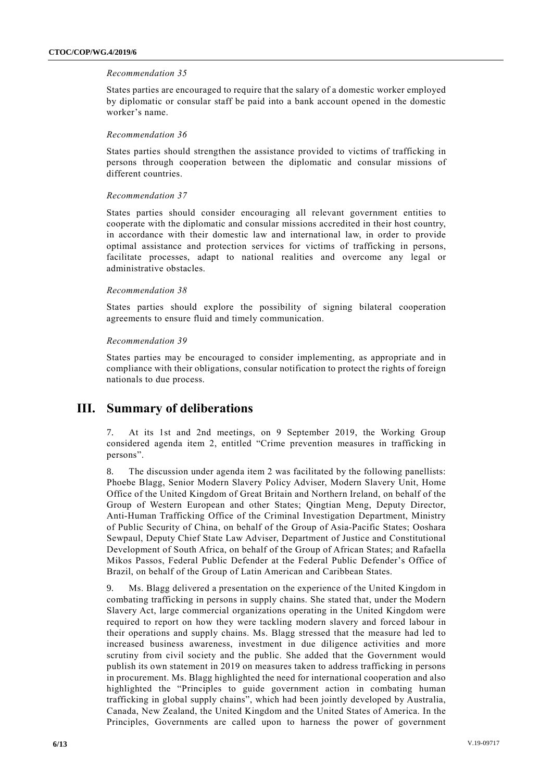## *Recommendation 35*

States parties are encouraged to require that the salary of a domestic worker employed by diplomatic or consular staff be paid into a bank account opened in the domestic worker's name.

## *Recommendation 36*

States parties should strengthen the assistance provided to victims of trafficking in persons through cooperation between the diplomatic and consular missions of different countries.

## *Recommendation 37*

States parties should consider encouraging all relevant government entities to cooperate with the diplomatic and consular missions accredited in their host country, in accordance with their domestic law and international law, in order to provide optimal assistance and protection services for victims of trafficking in persons, facilitate processes, adapt to national realities and overcome any legal or administrative obstacles.

## *Recommendation 38*

States parties should explore the possibility of signing bilateral cooperation agreements to ensure fluid and timely communication.

## *Recommendation 39*

States parties may be encouraged to consider implementing, as appropriate and in compliance with their obligations, consular notification to protect the rights of foreign nationals to due process.

## **III. Summary of deliberations**

7. At its 1st and 2nd meetings, on 9 September 2019, the Working Group considered agenda item 2, entitled "Crime prevention measures in trafficking in persons".

8. The discussion under agenda item 2 was facilitated by the following panellists: Phoebe Blagg, Senior Modern Slavery Policy Adviser, Modern Slavery Unit, Home Office of the United Kingdom of Great Britain and Northern Ireland, on behalf of the Group of Western European and other States; Qingtian Meng, Deputy Director, Anti-Human Trafficking Office of the Criminal Investigation Department, Ministry of Public Security of China, on behalf of the Group of Asia-Pacific States; Ooshara Sewpaul, Deputy Chief State Law Adviser, Department of Justice and Constitutional Development of South Africa, on behalf of the Group of African States; and Rafaella Mikos Passos, Federal Public Defender at the Federal Public Defender's Office of Brazil, on behalf of the Group of Latin American and Caribbean States.

9. Ms. Blagg delivered a presentation on the experience of the United Kingdom in combating trafficking in persons in supply chains. She stated that, under the Modern Slavery Act, large commercial organizations operating in the United Kingdom were required to report on how they were tackling modern slavery and forced labour in their operations and supply chains. Ms. Blagg stressed that the measure had led to increased business awareness, investment in due diligence activities and more scrutiny from civil society and the public. She added that the Government would publish its own statement in 2019 on measures taken to address trafficking in persons in procurement. Ms. Blagg highlighted the need for international cooperation and also highlighted the "Principles to guide government action in combating human trafficking in global supply chains", which had been jointly developed by Australia, Canada, New Zealand, the United Kingdom and the United States of America. In the Principles, Governments are called upon to harness the power of government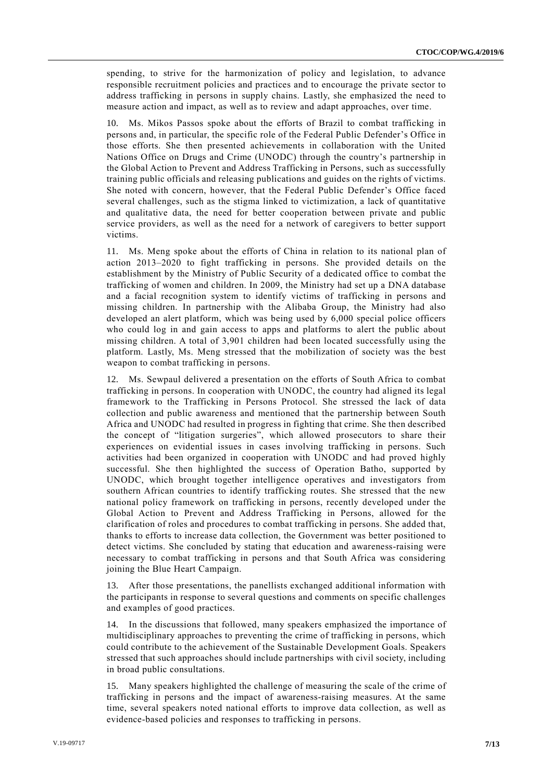spending, to strive for the harmonization of policy and legislation, to advance responsible recruitment policies and practices and to encourage the private sector to address trafficking in persons in supply chains. Lastly, she emphasized the need to measure action and impact, as well as to review and adapt approaches, over time.

10. Ms. Mikos Passos spoke about the efforts of Brazil to combat trafficking in persons and, in particular, the specific role of the Federal Public Defender's Office in those efforts. She then presented achievements in collaboration with the United Nations Office on Drugs and Crime (UNODC) through the country's partnership in the Global Action to Prevent and Address Trafficking in Persons, such as successfully training public officials and releasing publications and guides on the rights of victims. She noted with concern, however, that the Federal Public Defender's Office faced several challenges, such as the stigma linked to victimization, a lack of quantitative and qualitative data, the need for better cooperation between private and public service providers, as well as the need for a network of caregivers to better support victims.

11. Ms. Meng spoke about the efforts of China in relation to its national plan of action 2013–2020 to fight trafficking in persons. She provided details on the establishment by the Ministry of Public Security of a dedicated office to combat the trafficking of women and children. In 2009, the Ministry had set up a DNA database and a facial recognition system to identify victims of trafficking in persons and missing children. In partnership with the Alibaba Group, the Ministry had also developed an alert platform, which was being used by 6,000 special police officers who could log in and gain access to apps and platforms to alert the public about missing children. A total of 3,901 children had been located successfully using the platform. Lastly, Ms. Meng stressed that the mobilization of society was the best weapon to combat trafficking in persons.

12. Ms. Sewpaul delivered a presentation on the efforts of South Africa to combat trafficking in persons. In cooperation with UNODC, the country had aligned its legal framework to the Trafficking in Persons Protocol. She stressed the lack of data collection and public awareness and mentioned that the partnership between South Africa and UNODC had resulted in progress in fighting that crime. She then described the concept of "litigation surgeries", which allowed prosecutors to share their experiences on evidential issues in cases involving trafficking in persons. Such activities had been organized in cooperation with UNODC and had proved highly successful. She then highlighted the success of Operation Batho, supported by UNODC, which brought together intelligence operatives and investigators from southern African countries to identify trafficking routes. She stressed that the new national policy framework on trafficking in persons, recently developed under the Global Action to Prevent and Address Trafficking in Persons, allowed for the clarification of roles and procedures to combat trafficking in persons. She added that, thanks to efforts to increase data collection, the Government was better positioned to detect victims. She concluded by stating that education and awareness-raising were necessary to combat trafficking in persons and that South Africa was considering joining the Blue Heart Campaign.

13. After those presentations, the panellists exchanged additional information with the participants in response to several questions and comments on specific challenges and examples of good practices.

14. In the discussions that followed, many speakers emphasized the importance of multidisciplinary approaches to preventing the crime of trafficking in persons, which could contribute to the achievement of the Sustainable Development Goals. Speakers stressed that such approaches should include partnerships with civil society, including in broad public consultations.

15. Many speakers highlighted the challenge of measuring the scale of the crime of trafficking in persons and the impact of awareness-raising measures. At the same time, several speakers noted national efforts to improve data collection, as well as evidence-based policies and responses to trafficking in persons.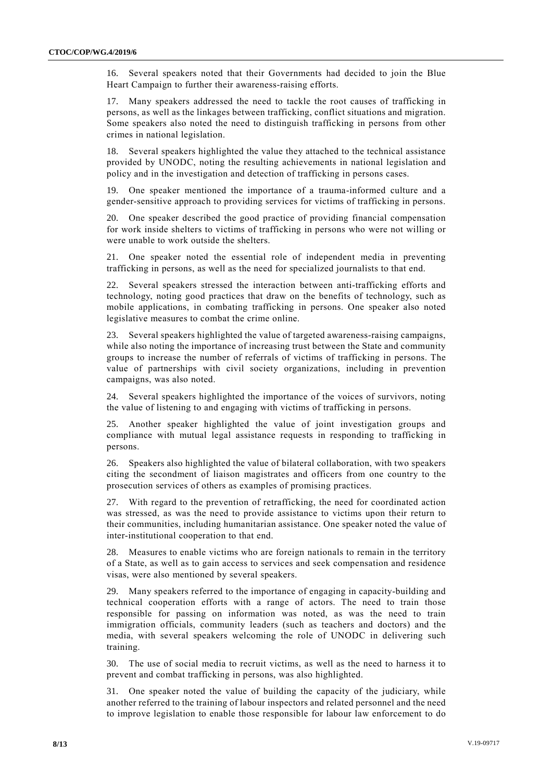16. Several speakers noted that their Governments had decided to join the Blue Heart Campaign to further their awareness-raising efforts.

17. Many speakers addressed the need to tackle the root causes of trafficking in persons, as well as the linkages between trafficking, conflict situations and migration. Some speakers also noted the need to distinguish trafficking in persons from other crimes in national legislation.

18. Several speakers highlighted the value they attached to the technical assistance provided by UNODC, noting the resulting achievements in national legislation and policy and in the investigation and detection of trafficking in persons cases.

19. One speaker mentioned the importance of a trauma-informed culture and a gender-sensitive approach to providing services for victims of trafficking in persons.

20. One speaker described the good practice of providing financial compensation for work inside shelters to victims of trafficking in persons who were not willing or were unable to work outside the shelters.

21. One speaker noted the essential role of independent media in preventing trafficking in persons, as well as the need for specialized journalists to that end.

22. Several speakers stressed the interaction between anti-trafficking efforts and technology, noting good practices that draw on the benefits of technology, such as mobile applications, in combating trafficking in persons. One speaker also noted legislative measures to combat the crime online.

23. Several speakers highlighted the value of targeted awareness-raising campaigns, while also noting the importance of increasing trust between the State and community groups to increase the number of referrals of victims of trafficking in persons. The value of partnerships with civil society organizations, including in prevention campaigns, was also noted.

24. Several speakers highlighted the importance of the voices of survivors, noting the value of listening to and engaging with victims of trafficking in persons.

25. Another speaker highlighted the value of joint investigation groups and compliance with mutual legal assistance requests in responding to trafficking in persons.

26. Speakers also highlighted the value of bilateral collaboration, with two speakers citing the secondment of liaison magistrates and officers from one country to the prosecution services of others as examples of promising practices.

27. With regard to the prevention of retrafficking, the need for coordinated action was stressed, as was the need to provide assistance to victims upon their return to their communities, including humanitarian assistance. One speaker noted the value of inter-institutional cooperation to that end.

28. Measures to enable victims who are foreign nationals to remain in the territory of a State, as well as to gain access to services and seek compensation and residence visas, were also mentioned by several speakers.

29. Many speakers referred to the importance of engaging in capacity-building and technical cooperation efforts with a range of actors. The need to train those responsible for passing on information was noted, as was the need to train immigration officials, community leaders (such as teachers and doctors) and the media, with several speakers welcoming the role of UNODC in delivering such training.

30. The use of social media to recruit victims, as well as the need to harness it to prevent and combat trafficking in persons, was also highlighted.

31. One speaker noted the value of building the capacity of the judiciary, while another referred to the training of labour inspectors and related personnel and the need to improve legislation to enable those responsible for labour law enforcement to do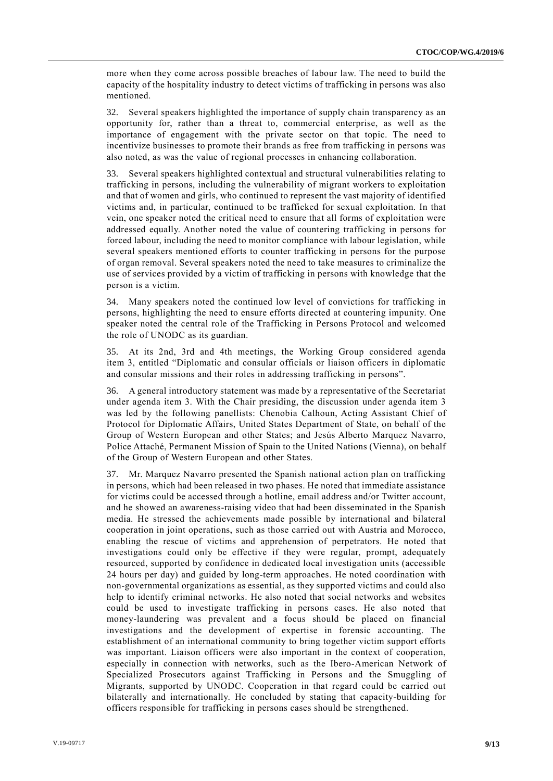more when they come across possible breaches of labour law. The need to build the capacity of the hospitality industry to detect victims of trafficking in persons was also mentioned.

32. Several speakers highlighted the importance of supply chain transparency as an opportunity for, rather than a threat to, commercial enterprise, as well as the importance of engagement with the private sector on that topic. The need to incentivize businesses to promote their brands as free from trafficking in persons was also noted, as was the value of regional processes in enhancing collaboration.

33. Several speakers highlighted contextual and structural vulnerabilities relating to trafficking in persons, including the vulnerability of migrant workers to exploitation and that of women and girls, who continued to represent the vast majority of identified victims and, in particular, continued to be trafficked for sexual exploitation. In that vein, one speaker noted the critical need to ensure that all forms of exploitation were addressed equally. Another noted the value of countering trafficking in persons for forced labour, including the need to monitor compliance with labour legislation, while several speakers mentioned efforts to counter trafficking in persons for the purpose of organ removal. Several speakers noted the need to take measures to criminalize the use of services provided by a victim of trafficking in persons with knowledge that the person is a victim.

34. Many speakers noted the continued low level of convictions for trafficking in persons, highlighting the need to ensure efforts directed at countering impunity. One speaker noted the central role of the Trafficking in Persons Protocol and welcomed the role of UNODC as its guardian.

35. At its 2nd, 3rd and 4th meetings, the Working Group considered agenda item 3, entitled "Diplomatic and consular officials or liaison officers in diplomatic and consular missions and their roles in addressing trafficking in persons".

36. A general introductory statement was made by a representative of the Secretariat under agenda item 3. With the Chair presiding, the discussion under agenda item 3 was led by the following panellists: Chenobia Calhoun, Acting Assistant Chief of Protocol for Diplomatic Affairs, United States Department of State, on behalf of the Group of Western European and other States; and Jesús Alberto Marquez Navarro, Police Attaché, Permanent Mission of Spain to the United Nations (Vienna), on behalf of the Group of Western European and other States.

37. Mr. Marquez Navarro presented the Spanish national action plan on trafficking in persons, which had been released in two phases. He noted that immediate assistance for victims could be accessed through a hotline, email address and/or Twitter account, and he showed an awareness-raising video that had been disseminated in the Spanish media. He stressed the achievements made possible by international and bilateral cooperation in joint operations, such as those carried out with Austria and Morocco, enabling the rescue of victims and apprehension of perpetrators. He noted that investigations could only be effective if they were regular, prompt, adequately resourced, supported by confidence in dedicated local investigation units (accessible 24 hours per day) and guided by long-term approaches. He noted coordination with non-governmental organizations as essential, as they supported victims and could also help to identify criminal networks. He also noted that social networks and websites could be used to investigate trafficking in persons cases. He also noted that money-laundering was prevalent and a focus should be placed on financial investigations and the development of expertise in forensic accounting. The establishment of an international community to bring together victim support efforts was important. Liaison officers were also important in the context of cooperation, especially in connection with networks, such as the Ibero-American Network of Specialized Prosecutors against Trafficking in Persons and the Smuggling of Migrants, supported by UNODC. Cooperation in that regard could be carried out bilaterally and internationally. He concluded by stating that capacity-building for officers responsible for trafficking in persons cases should be strengthened.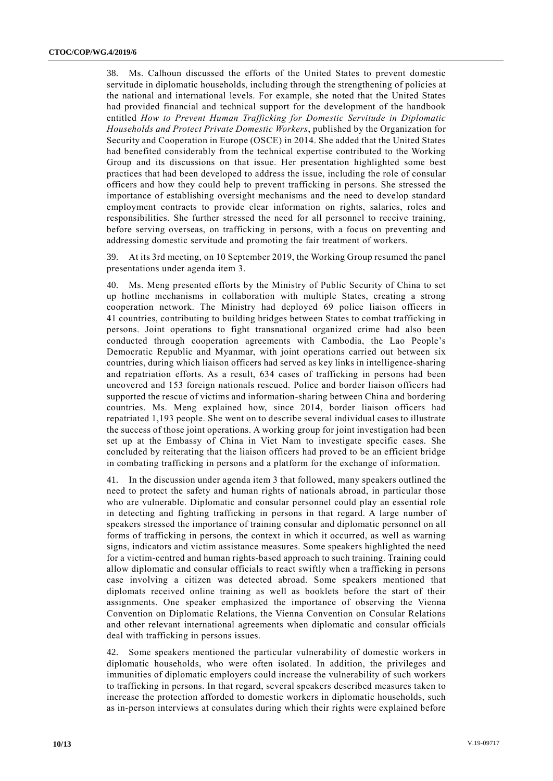38. Ms. Calhoun discussed the efforts of the United States to prevent domestic servitude in diplomatic households, including through the strengthening of policies at the national and international levels. For example, she noted that the United States had provided financial and technical support for the development of the handbook entitled *How to Prevent Human Trafficking for Domestic Servitude in Diplomatic Households and Protect Private Domestic Workers*, published by the Organization for Security and Cooperation in Europe (OSCE) in 2014. She added that the United States had benefited considerably from the technical expertise contributed to the Working Group and its discussions on that issue. Her presentation highlighted some best practices that had been developed to address the issue, including the role of consular officers and how they could help to prevent trafficking in persons. She stressed the importance of establishing oversight mechanisms and the need to develop standard employment contracts to provide clear information on rights, salaries, roles and responsibilities. She further stressed the need for all personnel to receive training, before serving overseas, on trafficking in persons, with a focus on preventing and addressing domestic servitude and promoting the fair treatment of workers.

39. At its 3rd meeting, on 10 September 2019, the Working Group resumed the panel presentations under agenda item 3.

40. Ms. Meng presented efforts by the Ministry of Public Security of China to set up hotline mechanisms in collaboration with multiple States, creating a strong cooperation network. The Ministry had deployed 69 police liaison officers in 41 countries, contributing to building bridges between States to combat trafficking in persons. Joint operations to fight transnational organized crime had also been conducted through cooperation agreements with Cambodia, the Lao People's Democratic Republic and Myanmar, with joint operations carried out between six countries, during which liaison officers had served as key links in intelligence-sharing and repatriation efforts. As a result, 634 cases of trafficking in persons had been uncovered and 153 foreign nationals rescued. Police and border liaison officers had supported the rescue of victims and information-sharing between China and bordering countries. Ms. Meng explained how, since 2014, border liaison officers had repatriated 1,193 people. She went on to describe several individual cases to illustrate the success of those joint operations. A working group for joint investigation had been set up at the Embassy of China in Viet Nam to investigate specific cases. She concluded by reiterating that the liaison officers had proved to be an efficient bridge in combating trafficking in persons and a platform for the exchange of information.

41. In the discussion under agenda item 3 that followed, many speakers outlined the need to protect the safety and human rights of nationals abroad, in particular those who are vulnerable. Diplomatic and consular personnel could play an essential role in detecting and fighting trafficking in persons in that regard. A large number of speakers stressed the importance of training consular and diplomatic personnel on all forms of trafficking in persons, the context in which it occurred, as well as warning signs, indicators and victim assistance measures. Some speakers highlighted the need for a victim-centred and human rights-based approach to such training. Training could allow diplomatic and consular officials to react swiftly when a trafficking in persons case involving a citizen was detected abroad. Some speakers mentioned that diplomats received online training as well as booklets before the start of their assignments. One speaker emphasized the importance of observing the Vienna Convention on Diplomatic Relations, the Vienna Convention on Consular Relations and other relevant international agreements when diplomatic and consular officials deal with trafficking in persons issues.

42. Some speakers mentioned the particular vulnerability of domestic workers in diplomatic households, who were often isolated. In addition, the privileges and immunities of diplomatic employers could increase the vulnerability of such workers to trafficking in persons. In that regard, several speakers described measures taken to increase the protection afforded to domestic workers in diplomatic households, such as in-person interviews at consulates during which their rights were explained before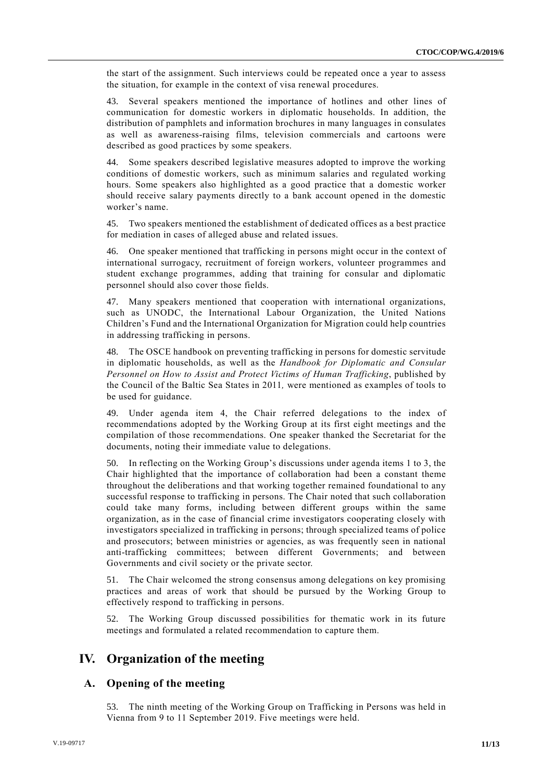the start of the assignment. Such interviews could be repeated once a year to assess the situation, for example in the context of visa renewal procedures.

43. Several speakers mentioned the importance of hotlines and other lines of communication for domestic workers in diplomatic households. In addition, the distribution of pamphlets and information brochures in many languages in consulates as well as awareness-raising films, television commercials and cartoons were described as good practices by some speakers.

44. Some speakers described legislative measures adopted to improve the working conditions of domestic workers, such as minimum salaries and regulated working hours. Some speakers also highlighted as a good practice that a domestic worker should receive salary payments directly to a bank account opened in the domestic worker's name.

45. Two speakers mentioned the establishment of dedicated offices as a best practice for mediation in cases of alleged abuse and related issues.

46. One speaker mentioned that trafficking in persons might occur in the context of international surrogacy, recruitment of foreign workers, volunteer programmes and student exchange programmes, adding that training for consular and diplomatic personnel should also cover those fields.

47. Many speakers mentioned that cooperation with international organizations, such as UNODC, the International Labour Organization, the United Nations Children's Fund and the International Organization for Migration could help countries in addressing trafficking in persons.

48. The OSCE handbook on preventing trafficking in persons for domestic servitude in diplomatic households, as well as the *Handbook for Diplomatic and Consular Personnel on How to Assist and Protect Victims of Human Trafficking*, published by the Council of the Baltic Sea States in 2011*,* were mentioned as examples of tools to be used for guidance.

49. Under agenda item 4, the Chair referred delegations to the index of recommendations adopted by the Working Group at its first eight meetings and the compilation of those recommendations. One speaker thanked the Secretariat for the documents, noting their immediate value to delegations.

50. In reflecting on the Working Group's discussions under agenda items 1 to 3, the Chair highlighted that the importance of collaboration had been a constant theme throughout the deliberations and that working together remained foundational to any successful response to trafficking in persons. The Chair noted that such collaboration could take many forms, including between different groups within the same organization, as in the case of financial crime investigators cooperating closely with investigators specialized in trafficking in persons; through specialized teams of police and prosecutors; between ministries or agencies, as was frequently seen in national anti-trafficking committees; between different Governments; and between Governments and civil society or the private sector.

51. The Chair welcomed the strong consensus among delegations on key promising practices and areas of work that should be pursued by the Working Group to effectively respond to trafficking in persons.

52. The Working Group discussed possibilities for thematic work in its future meetings and formulated a related recommendation to capture them.

# **IV. Organization of the meeting**

## **A. Opening of the meeting**

53. The ninth meeting of the Working Group on Trafficking in Persons was held in Vienna from 9 to 11 September 2019. Five meetings were held.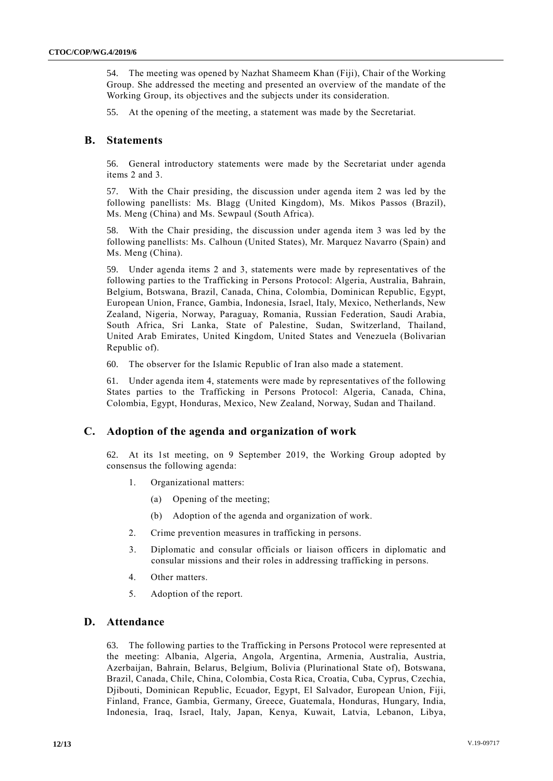54. The meeting was opened by Nazhat Shameem Khan (Fiji), Chair of the Working Group. She addressed the meeting and presented an overview of the mandate of the Working Group, its objectives and the subjects under its consideration.

55. At the opening of the meeting, a statement was made by the Secretariat.

## **B. Statements**

56. General introductory statements were made by the Secretariat under agenda items 2 and 3.

57. With the Chair presiding, the discussion under agenda item 2 was led by the following panellists: Ms. Blagg (United Kingdom), Ms. Mikos Passos (Brazil), Ms. Meng (China) and Ms. Sewpaul (South Africa).

58. With the Chair presiding, the discussion under agenda item 3 was led by the following panellists: Ms. Calhoun (United States), Mr. Marquez Navarro (Spain) and Ms. Meng (China).

59. Under agenda items 2 and 3, statements were made by representatives of the following parties to the Trafficking in Persons Protocol: Algeria, Australia, Bahrain, Belgium, Botswana, Brazil, Canada, China, Colombia, Dominican Republic, Egypt, European Union, France, Gambia, Indonesia, Israel, Italy, Mexico, Netherlands, New Zealand, Nigeria, Norway, Paraguay, Romania, Russian Federation, Saudi Arabia, South Africa, Sri Lanka, State of Palestine, Sudan, Switzerland, Thailand, United Arab Emirates, United Kingdom, United States and Venezuela (Bolivarian Republic of).

60. The observer for the Islamic Republic of Iran also made a statement.

61. Under agenda item 4, statements were made by representatives of the following States parties to the Trafficking in Persons Protocol: Algeria, Canada, China, Colombia, Egypt, Honduras, Mexico, New Zealand, Norway, Sudan and Thailand.

## **C. Adoption of the agenda and organization of work**

62. At its 1st meeting, on 9 September 2019, the Working Group adopted by consensus the following agenda:

- 1. Organizational matters:
	- (a) Opening of the meeting;
	- (b) Adoption of the agenda and organization of work.
- 2. Crime prevention measures in trafficking in persons.
- 3. Diplomatic and consular officials or liaison officers in diplomatic and consular missions and their roles in addressing trafficking in persons.
- 4. Other matters.
- 5. Adoption of the report.

## **D. Attendance**

63. The following parties to the Trafficking in Persons Protocol were represented at the meeting: Albania, Algeria, Angola, Argentina, Armenia, Australia, Austria, Azerbaijan, Bahrain, Belarus, Belgium, Bolivia (Plurinational State of), Botswana, Brazil, Canada, Chile, China, Colombia, Costa Rica, Croatia, Cuba, Cyprus, Czechia, Djibouti, Dominican Republic, Ecuador, Egypt, El Salvador, European Union, Fiji, Finland, France, Gambia, Germany, Greece, Guatemala, Honduras, Hungary, India, Indonesia, Iraq, Israel, Italy, Japan, Kenya, Kuwait, Latvia, Lebanon, Libya,